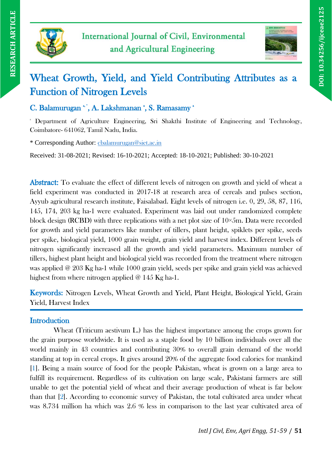



# Wheat Growth, Yield, and Yield Contributing Attributes as a Function of Nitrogen Levels

C. Balamurugan \*', A. Lakshmanan \*, S. Ramasamy \*

<sup>a</sup> Department of Agriculture Engineering, Sri Shakthi Institute of Engineering and Technology, Coimbatore- 641062, Tamil Nadu, India.

\* Corresponding Author: [cbalamurugan@siet.ac.in](mailto:cbalamurugan@siet.ac.in)

Received: 31-08-2021; Revised: 16-10-2021; Accepted: 18-10-2021; Published: 30-10-2021

Abstract: To evaluate the effect of different levels of nitrogen on growth and yield of wheat a field experiment was conducted in 2017-18 at research area of cereals and pulses section, Ayyub agricultural research institute, Faisalabad. Eight levels of nitrogen i.e. 0, 29, 58, 87, 116, 145, 174, 203 kg ha-1 were evaluated. Experiment was laid out under randomized complete block design (RCBD) with three replications with a net plot size of  $10\times5$ m. Data were recorded for growth and yield parameters like number of tillers, plant height, spiklets per spike, seeds per spike, biological yield, 1000 grain weight, grain yield and harvest index. Different levels of nitrogen significantly increased all the growth and yield parameters. Maximum number of tillers, highest plant height and biological yield was recorded from the treatment where nitrogen was applied @ 203 Kg ha-1 while 1000 grain yield, seeds per spike and grain yield was achieved highest from where nitrogen applied @ 145 Kg ha-1.

Keywords: Nitrogen Levels, Wheat Growth and Yield, Plant Height, Biological Yield, Grain Yield, Harvest Index

# **Introduction**

Wheat (Triticum aestivum L.) has the highest importance among the crops grown for the grain purpose worldwide. It is used as a staple food by 10 billion individuals over all the world mainly in 43 countries and contributing 30% to overall grain demand of the world standing at top in cereal crops. It gives around 20% of the aggregate food calories for mankind [1]. Being a main source of food for the people Pakistan, wheat is grown on a large area to fulfill its requirement. Regardless of its cultivation on large scale, Pakistani farmers are still unable to get the potential yield of wheat and their average production of wheat is far below than that [2]. According to economic survey of Pakistan, the total cultivated area under wheat was 8.734 million ha which was 2.6 % less in comparison to the last year cultivated area of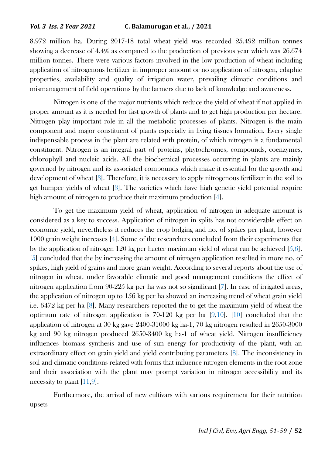8.972 million ha. During 2017-18 total wheat yield was recorded 25.492 million tonnes showing a decrease of 4.4% as compared to the production of previous year which was 26.674 million tonnes. There were various factors involved in the low production of wheat including application of nitrogenous fertilizer in improper amount or no application of nitrogen, edaphic properties, availability and quality of irrigation water, prevailing climatic conditions and mismanagement of field operations by the farmers due to lack of knowledge and awareness.

Nitrogen is one of the major nutrients which reduce the yield of wheat if not applied in proper amount as it is needed for fast growth of plants and to get high production per hectare. Nitrogen play important role in all the metabolic processes of plants. Nitrogen is the main component and major constituent of plants especially in living tissues formation. Every single indispensable process in the plant are related with protein, of which nitrogen is a fundamental constituent. Nitrogen is an integral part of proteins, phytochromes, compounds, coenzymes, chlorophyll and nucleic acids. All the biochemical processes occurring in plants are mainly governed by nitrogen and its associated compounds which make it essential for the growth and development of wheat [3]. Therefore, it is necessary to apply nitrogenous fertilizer in the soil to get bumper yields of wheat [3]. The varieties which have high genetic yield potential require high amount of nitrogen to produce their maximum production [4].

To get the maximum yield of wheat, application of nitrogen in adequate amount is considered as a key to success. Application of nitrogen in splits has not considerable effect on economic yield, nevertheless it reduces the crop lodging and no. of spikes per plant, however 1000 grain weight increases [4]. Some of the researchers concluded from their experiments that by the application of nitrogen 120 kg per hacter maximum yield of wheat can be achieved [5,6]. [5] concluded that the by increasing the amount of nitrogen application resulted in more no. of spikes, high yield of grains and more grain weight. According to several reports about the use of nitrogen in wheat, under favorable climatic and good management conditions the effect of nitrogen application from 90-225 kg per ha was not so significant [7]. In case of irrigated areas, the application of nitrogen up to 156 kg per ha showed an increasing trend of wheat grain yield i.e. 6472 kg per ha [8]. Many researchers reported the to get the maximum yield of wheat the optimum rate of nitrogen application is  $70-120$  kg per ha  $[9,10]$ . [10] concluded that the application of nitrogen at 30 kg gave 2400-31000 kg ha-1, 70 kg nitrogen resulted in 2650-3000 kg and 90 kg nitrogen produced 2650-3400 kg ha-1 of wheat yield. Nitrogen insufficiency influences biomass synthesis and use of sun energy for productivity of the plant, with an extraordinary effect on grain yield and yield contributing parameters [8]. The inconsistency in soil and climatic conditions related with forms that influence nitrogen elements in the root zone and their association with the plant may prompt variation in nitrogen accessibility and its necessity to plant [11,9].

Furthermore, the arrival of new cultivars with various requirement for their nutrition upsets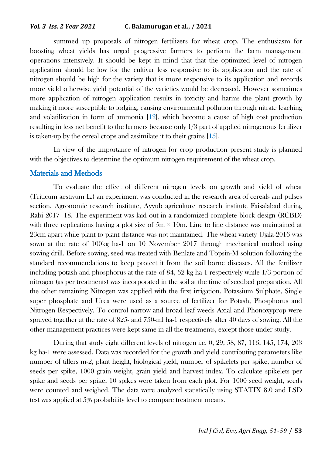#### *Vol. 3 Iss. 2 Year 2021* **C. Balamurugan et al., / 2021**

summed up proposals of nitrogen fertilizers for wheat crop. The enthusiasm for boosting wheat yields has urged progressive farmers to perform the farm management operations intensively. It should be kept in mind that that the optimized level of nitrogen application should be low for the cultivar less responsive to its application and the rate of nitrogen should be high for the variety that is more responsive to its application and records more yield otherwise yield potential of the varieties would be decreased. However sometimes more application of nitrogen application results in toxicity and harms the plant growth by making it more susceptible to lodging, causing environmental pollution through nitrate leaching and volatilization in form of ammonia [12], which become a cause of high cost production resulting in less net benefit to the farmers because only 1/3 part of applied nitrogenous fertilizer is taken-up by the cereal crops and assimilate it to their grains [15].

In view of the importance of nitrogen for crop production present study is planned with the objectives to determine the optimum nitrogen requirement of the wheat crop.

# Materials and Methods

To evaluate the effect of different nitrogen levels on growth and yield of wheat (Triticum aestivum L.) an experiment was conducted in the research area of cereals and pulses section, Agronomic research institute, Ayyub agriculture research institute Faisalabad during Rabi 2017- 18. The experiment was laid out in a randomized complete block design (RCBD) with three replications having a plot size of  $5m \times 10m$ . Line to line distance was maintained at 23cm apart while plant to plant distance was not maintained. The wheat variety Ujala-2016 was sown at the rate of 100kg ha-1 on 10 November 2017 through mechanical method using sowing drill. Before sowing, seed was treated with Benlate and Topsin-M solution following the standard recommendations to keep protect it from the soil borne diseases. All the fertilizer including potash and phosphorus at the rate of 84, 62 kg ha-1 respectively while 1/3 portion of nitrogen (as per treatments) was incorporated in the soil at the time of seedbed preparation. All the other remaining Nitrogen was applied with the first irrigation. Potassium Sulphate, Single super phosphate and Urea were used as a source of fertilizer for Potash, Phosphorus and Nitrogen Respectively. To control narrow and broad leaf weeds Axial and Phonoxyprop were sprayed together at the rate of 825- and 750-ml ha-1 respectively after 40 days of sowing. All the other management practices were kept same in all the treatments, except those under study.

During that study eight different levels of nitrogen i.e. 0, 29, 58, 87, 116, 145, 174, 203 kg ha-1 were assessed. Data was recorded for the growth and yield contributing parameters like number of tillers m-2, plant height, biological yield, number of spikelets per spike, number of seeds per spike, 1000 grain weight, grain yield and harvest index. To calculate spikelets per spike and seeds per spike, 10 spikes were taken from each plot. For 1000 seed weight, seeds were counted and weighed. The data were analyzed statistically using STATIX 8.0 and LSD test was applied at 5% probability level to compare treatment means.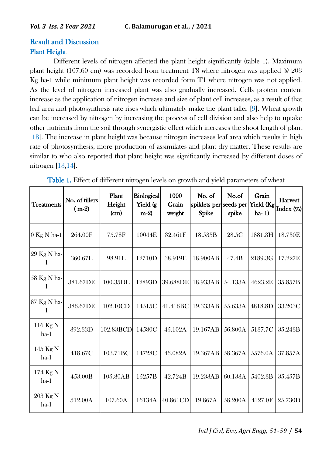# Result and Discussion Plant Height

Different levels of nitrogen affected the plant height significantly (table 1). Maximum plant height (107.60 cm) was recorded from treatment T8 where nitrogen was applied  $\omega$  203 Kg ha-1 while minimum plant height was recorded form T1 where nitrogen was not applied. As the level of nitrogen increased plant was also gradually increased. Cells protein content increase as the application of nitrogen increase and size of plant cell increases, as a result of that leaf area and photosynthesis rate rises which ultimately make the plant taller [9]. Wheat growth can be increased by nitrogen by increasing the process of cell division and also help to uptake other nutrients from the soil through synergistic effect which increases the shoot length of plant [18]. The increase in plant height was because nitrogen increases leaf area which results in high rate of photosynthesis, more production of assimilates and plant dry matter. These results are similar to who also reported that plant height was significantly increased by different doses of nitrogen [13,14].

| <b>Treatments</b>  | No. of tillers<br>$(m-2)$ | Plant<br>Height<br>(cm) | Biological<br>Yield (g<br>$m-2$ | 1000<br>Grain<br>weight | No. of<br>spiklets per seeds per<br>Spike | No.of<br>spike | Grain<br>Yield (Kg<br>$ha-1)$ | <b>Harvest</b><br>Index (%) |
|--------------------|---------------------------|-------------------------|---------------------------------|-------------------------|-------------------------------------------|----------------|-------------------------------|-----------------------------|
| $0$ Kg N ha-1      | 264.00F                   | 75.78F                  | 10044E                          | 32.461F                 | 18.533B                                   | 28.5C          | 1881.3H                       | 18.730E                     |
| 29 Kg N ha-<br>1   | 360.67E                   | 98.91E                  | 12710D                          | 38.919E                 | 18.900AB                                  | 47.4B          | 2189.3G                       | 17.227E                     |
| 58 Kg N ha-        | 381.67DE                  | 100.35DE                | 12893D                          | 39.688DE                | 18.933AB                                  | 54.133A        | 4623.2E                       | 35.857B                     |
| 87 Kg N ha-<br>1   | 386.67DE                  | 102.10CD                | 14515C                          | 41.416BC                | 19.333AB                                  | 55.633A        | 4818.8D                       | 33.203C                     |
| 116 Kg N<br>$ha-1$ | 392.33D                   | 102.83BCD               | 14580C                          | 45.102A                 | 19.167AB                                  | 56.800A        | 5137.7C                       | 35.243B                     |
| 145 Kg N<br>ha-1   | 418.67C                   | 103.71 <sub>BC</sub>    | 14728C                          | 46.082A                 | 19.367AB                                  | 58.367A        | 5576.0A                       | 37.857A                     |
| 174 Kg N<br>ha-1   | 453.00B                   | 105.80AB                | 15257B                          | 42.724B                 | 19.233AB                                  | 60.133A        | 5402.3B                       | 35.457B                     |
| 203 Kg N<br>ha-1   | 512.00A                   | 107.60A                 | 16134A                          | 40.861CD                | 19.867A                                   | 58.200A        | 4127.0F                       | 25.730D                     |

Table 1. Effect of different nitrogen levels on growth and yield parameters of wheat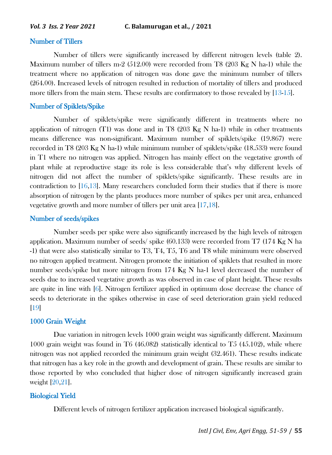# Number of Tillers

Number of tillers were significantly increased by different nitrogen levels (table 2). Maximum number of tillers m-2 (512.00) were recorded from T8 (203 Kg N ha-1) while the treatment where no application of nitrogen was done gave the minimum number of tillers (264.00). Increased levels of nitrogen resulted in reduction of mortality of tillers and produced more tillers from the main stem. These results are confirmatory to those revealed by [13-15].

# Number of Spiklets/Spike

Number of spiklets/spike were significantly different in treatments where no application of nitrogen (T1) was done and in T8 (203 Kg N ha-1) while in other treatments means difference was non-significant. Maximum number of spiklets/spike (19.867) were recorded in T8 (203 Kg N ha-1) while minimum number of spiklets/spike (18.533) were found in T1 where no nitrogen was applied. Nitrogen has mainly effect on the vegetative growth of plant while at reproductive stage its role is less considerable that's why different levels of nitrogen did not affect the number of spiklets/spike significantly. These results are in contradiction to [16,13]. Many researchers concluded form their studies that if there is more absorption of nitrogen by the plants produces more number of spikes per unit area, enhanced vegetative growth and more number of tillers per unit area [17,18].

# Number of seeds/spikes

Number seeds per spike were also significantly increased by the high levels of nitrogen application. Maximum number of seeds/ spike (60.133) were recorded from T7 (174 Kg N ha -1) that were also statistically similar to T3, T4, T5, T6 and T8 while minimum were observed no nitrogen applied treatment. Nitrogen promote the initiation of spiklets that resulted in more number seeds/spike but more nitrogen from 174 Kg N ha-1 level decreased the number of seeds due to increased vegetative growth as was observed in case of plant height. These results are quite in line with [6]. Nitrogen fertilizer applied in optimum dose decrease the chance of seeds to deteriorate in the spikes otherwise in case of seed deterioration grain yield reduced [19]

#### 1000 Grain Weight

Due variation in nitrogen levels 1000 grain weight was significantly different. Maximum 1000 grain weight was found in T6 (46.082) statistically identical to T5 (45.102), while where nitrogen was not applied recorded the minimum grain weight (32.461). These results indicate that nitrogen has a key role in the growth and development of grain. These results are similar to those reported by who concluded that higher dose of nitrogen significantly increased grain weight [20,21].

#### Biological Yield

Different levels of nitrogen fertilizer application increased biological significantly.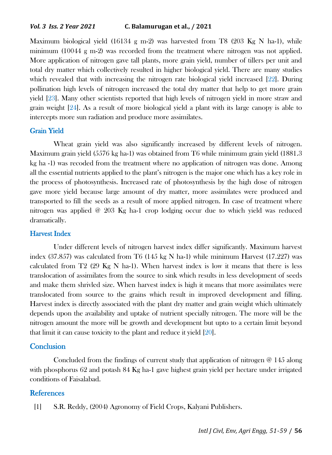Maximum biological yield  $(16134 \text{ g m-2})$  was harvested from T8 (203 Kg N ha-1), while minimum (10044 g m-2) was recorded from the treatment where nitrogen was not applied. More application of nitrogen gave tall plants, more grain yield, number of tillers per unit and total dry matter which collectively resulted in higher biological yield. There are many studies which revealed that with increasing the nitrogen rate biological yield increased [22]. During pollination high levels of nitrogen increased the total dry matter that help to get more grain yield [23]. Many other scientists reported that high levels of nitrogen yield in more straw and grain weight [24]. As a result of more biological yield a plant with its large canopy is able to intercepts more sun radiation and produce more assimilates.

# Grain Yield

Wheat grain yield was also significantly increased by different levels of nitrogen. Maximum grain yield (5576 kg ha-1) was obtained from T6 while minimum grain yield (1881.3 kg ha -1) was recoded from the treatment where no application of nitrogen was done. Among all the essential nutrients applied to the plant's nitrogen is the major one which has a key role in the process of photosynthesis. Increased rate of photosynthesis by the high dose of nitrogen gave more yield because large amount of dry matter, more assimilates were produced and transported to fill the seeds as a result of more applied nitrogen. In case of treatment where nitrogen was applied @ 203 Kg ha-1 crop lodging occur due to which yield was reduced dramatically.

# Harvest Index

Under different levels of nitrogen harvest index differ significantly. Maximum harvest index  $(37.857)$  was calculated from T6  $(145 \text{ kg N} \text{ ha-1})$  while minimum Harvest  $(17.227)$  was calculated from T2 (29 Kg N ha-1). When harvest index is low it means that there is less translocation of assimilates from the source to sink which results in less development of seeds and make them shrivled size. When harvest index is high it means that more assimilates were translocated from source to the grains which result in improved development and filling. Harvest index is directly associated with the plant dry matter and grain weight which ultimately depends upon the availability and uptake of nutrient specially nitrogen. The more will be the nitrogen amount the more will be growth and development but upto to a certain limit beyond that limit it can cause toxicity to the plant and reduce it yield [20].

# **Conclusion**

Concluded from the findings of current study that application of nitrogen  $\varnothing$  145 along with phosphorus 62 and potash 84 Kg ha-1 gave highest grain yield per hectare under irrigated conditions of Faisalabad.

#### **References**

[1] S.R. Reddy, (2004) Agronomy of Field Crops, Kalyani Publishers.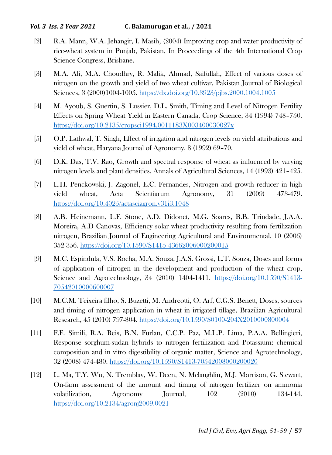# *Vol. 3 Iss. 2 Year 2021* **C. Balamurugan et al., / 2021**

- [2] R.A. Mann, W.A. Jehangir, I. Masih, (2004) Improving crop and water productivity of rice-wheat system in Punjab, Pakistan, In Proceedings of the 4th International Crop Science Congress, Brisbane.
- [3] M.A. Ali, M.A. Choudhry, R. Malik, Ahmad, Saifullah, Effect of various doses of nitrogen on the growth and yield of two wheat cultivar, Pakistan Journal of Biological Sciences, 3 (2000)1004-1005.<https://dx.doi.org/10.3923/pjbs.2000.1004.1005>
- [4] M. Ayoub, S. Guertin, S. Lussier, D.L. Smith, Timing and Level of Nitrogen Fertility Effects on Spring Wheat Yield in Eastern Canada, Crop Science, 34 (1994) 748–750. <https://doi.org/10.2135/cropsci1994.0011183X003400030027x>
- [5] O.P. Lathwal, T. Singh, Effect of irrigation and nitrogen levels on yield attributions and yield of wheat, Haryana Journal of Agronomy, 8 (1992) 69–70.
- [6] D.K. Das, T.V. Rao, Growth and spectral response of wheat as influenced by varying nitrogen levels and plant densities, Annals of Agricultural Sciences, 14 (1993) 421–425.
- [7] L.H. Penckowski, J. Zagonel, E.C. Fernandes, Nitrogen and growth reducer in high yield wheat, Acta Scientiarum Agronomy, 31 (2009) 473-479. <https://doi.org/10.4025/actasciagron.v31i3.1048>
- [8] A.B. Heinemann, L.F. Stone, A.D. Didonet, M.G. Soares, B.B. Trindade, J.A.A. Moreira, A.D Canovas, Efficiency solar wheat productivity resulting from fertilization nitrogen, Brazilian Journal of Engineering Agricultural and Environmental, 10 (2006) 352-356.<https://doi.org/10.1590/S1415-43662006000200015>
- [9] M.C. Espindula, V.S. Rocha, M.A. Souza, J.A.S. Grossi, L.T. Souza, Doses and forms of application of nitrogen in the development and production of the wheat crop, Science and Agrotechnology, 34 (2010) 1404-1411. [https://doi.org/10.1590/S1413-](https://doi.org/10.1590/S1413-70542010000600007) [70542010000600007](https://doi.org/10.1590/S1413-70542010000600007)
- [10] M.C.M. Teixeira filho, S. Buzetti, M. Andreotti, O. Arf, C.G.S. Benett, Doses, sources and timing of nitrogen application in wheat in irrigated tillage, Brazilian Agricultural Research, 45 (2010) 797-804.<https://doi.org/10.1590/S0100-204X2010000800004>
- [11] F.F. Simili, R.A. Reis, B.N. Furlan, C.C.P. Paz, M.L.P. Lima, P.A.A. Bellingieri, Response sorghum-sudan hybrids to nitrogen fertilization and Potassium: chemical composition and in vitro digestibility of organic matter, Science and Agrotechnology, 32 (2008) 474-480.<https://doi.org/10.1590/S1413-70542008000200020>
- [12] L. Ma, T.Y. Wu, N. Tremblay, W. Deen, N. Mclaughlin, M.J. Morrison, G. Stewart, On-farm assessment of the amount and timing of nitrogen fertilizer on ammonia volatilization, Agronomy Journal, 102 (2010) 134-144. <https://doi.org/10.2134/agronj2009.0021>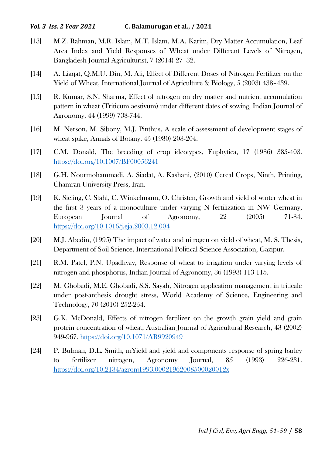# *Vol. 3 Iss. 2 Year 2021* **C. Balamurugan et al., / 2021**

- [13] M.Z. Rahman, M.R. Islam, M.T. Islam, M.A. Karim, Dry Matter Accumulation, Leaf Area Index and Yield Responses of Wheat under Different Levels of Nitrogen, Bangladesh Journal Agriculturist, 7 (2014) 27–32.
- [14] A. Liaqat, Q.M.U. Din, M. Ali, Effect of Different Doses of Nitrogen Fertilizer on the Yield of Wheat, International Journal of Agriculture & Biology, 5 (2003) 438–439.
- [15] R. Kumar, S.N. Sharma, Effect of nitrogen on dry matter and nutrient accumulation pattern in wheat (Triticum aestivum) under different dates of sowing, Indian Journal of Agronomy, 44 (1999) 738-744.
- [16] M. Nerson, M. Sibony, M.J. Pinthus, A scale of assessment of development stages of wheat spike, Annals of Botany, 45 (1980) 203-204.
- [17] C.M. Donald, The breeding of crop ideotypes, Euphytica, 17 (1986) 385-403. <https://doi.org/10.1007/BF00056241>
- [18] G.H. Nourmohammadi, A. Siadat, A. Kashani, (2010) Cereal Crops, Ninth, Printing, Chamran University Press, Iran.
- [19] K. Sieling, C. Stahl, C. Winkelmann, O. Christen, Growth and yield of winter wheat in the first 3 years of a monoculture under varying N fertilization in NW Germany, European Journal of Agronomy, 22 (2005) 71-84. <https://doi.org/10.1016/j.eja.2003.12.004>
- [20] M.J. Abedin, (1995) The impact of water and nitrogen on yield of wheat, M. S. Thesis, Department of Soil Science, International Political Science Association, Gazipur.
- [21] R.M. Patel, P.N. Upadhyay, Response of wheat to irrigation under varying levels of nitrogen and phosphorus, Indian Journal of Agronomy, 36 (1993) 113-115.
- [22] M. Ghobadi, M.E. Ghobadi, S.S. Sayah, Nitrogen application management in triticale under post-anthesis drought stress, World Academy of Science, Engineering and Technology, 70 (2010) 252-254.
- [23] G.K. McDonald, Effects of nitrogen fertilizer on the growth grain yield and grain protein concentration of wheat, Australian Journal of Agricultural Research, 43 (2002) 949-967.<https://doi.org/10.1071/AR9920949>
- [24] P. Bulman, D.L. Smith, mYield and yield and components response of spring barley to fertilizer nitrogen, Agronomy Journal, 85 (1993) 226-231. <https://doi.org/10.2134/agronj1993.00021962008500020012x>